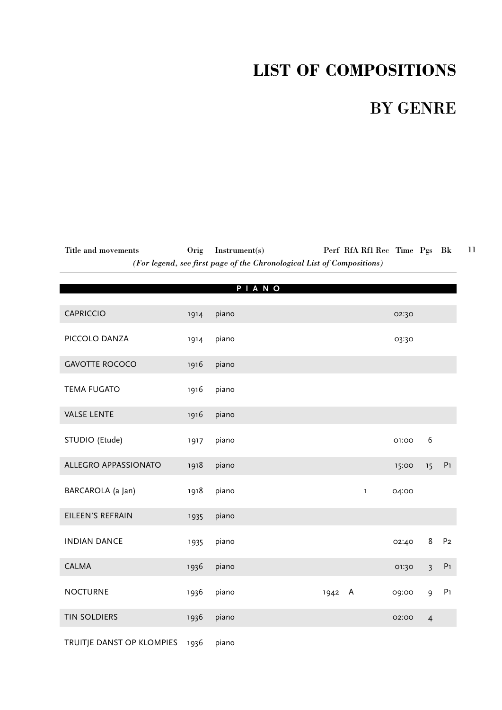# **LIST OF COMPOSITIONS**

## BY GENRE

Title and movements Orig Instrument(s) Perf RfA Rf1 Rec Time Pgs Bk *(For legend, see first page of the Chronological List of Compositions)* 11

|                             |      | PIANO |      |   |              |       |                         |                |
|-----------------------------|------|-------|------|---|--------------|-------|-------------------------|----------------|
| <b>CAPRICCIO</b>            | 1914 | piano |      |   |              | 02:30 |                         |                |
|                             |      |       |      |   |              |       |                         |                |
| PICCOLO DANZA               | 1914 | piano |      |   |              | 03:30 |                         |                |
| <b>GAVOTTE ROCOCO</b>       | 1916 | piano |      |   |              |       |                         |                |
| <b>TEMA FUGATO</b>          | 1916 | piano |      |   |              |       |                         |                |
| <b>VALSE LENTE</b>          | 1916 | piano |      |   |              |       |                         |                |
| STUDIO (Etude)              | 1917 | piano |      |   |              | 01:00 | 6                       |                |
| <b>ALLEGRO APPASSIONATO</b> | 1918 | piano |      |   |              | 15:00 | 15                      | P <sub>1</sub> |
| BARCAROLA (a Jan)           | 1918 | piano |      |   | $\mathbf{1}$ | 04:00 |                         |                |
| EILEEN'S REFRAIN            | 1935 | piano |      |   |              |       |                         |                |
| <b>INDIAN DANCE</b>         | 1935 | piano |      |   |              | 02:40 | 8                       | P <sub>2</sub> |
| <b>CALMA</b>                | 1936 | piano |      |   |              | 01:30 | $\overline{\mathbf{3}}$ | $\mathsf{P}1$  |
| <b>NOCTURNE</b>             | 1936 | piano | 1942 | A |              | 09:00 | 9                       | ${\sf P1}$     |
| <b>TIN SOLDIERS</b>         | 1936 | piano |      |   |              | 02:00 | $\overline{4}$          |                |
| TRUITJE DANST OP KLOMPIES   | 1936 | piano |      |   |              |       |                         |                |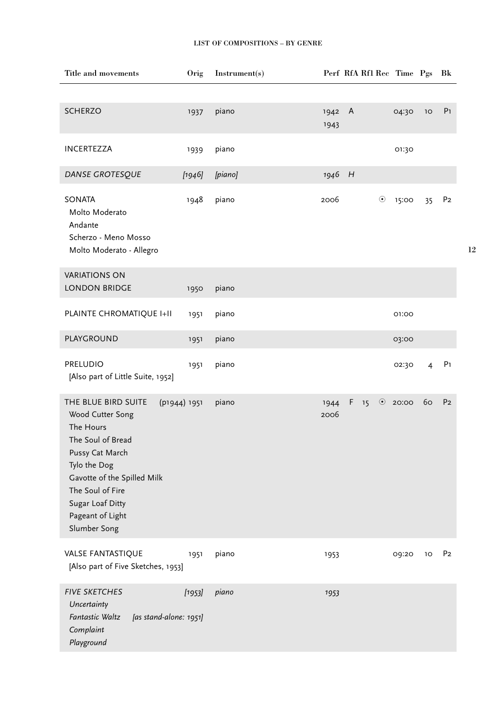| <b>SCHERZO</b><br>piano<br>$\mathsf{A}$<br>1942<br>04:30<br>1937<br>1943<br>INCERTEZZA<br>piano<br>01:30<br>1939<br>DANSE GROTESQUE<br>[piano]<br>1946 H<br>[1946]<br><b>SONATA</b><br>piano<br>$\odot$<br>1948<br>2006<br>15:00                                                                | 10<br>35       | P <sub>1</sub> |
|-------------------------------------------------------------------------------------------------------------------------------------------------------------------------------------------------------------------------------------------------------------------------------------------------|----------------|----------------|
|                                                                                                                                                                                                                                                                                                 |                |                |
|                                                                                                                                                                                                                                                                                                 |                |                |
|                                                                                                                                                                                                                                                                                                 |                |                |
| Molto Moderato<br>Andante<br>Scherzo - Meno Mosso<br>Molto Moderato - Allegro                                                                                                                                                                                                                   |                | P <sub>2</sub> |
| <b>VARIATIONS ON</b>                                                                                                                                                                                                                                                                            |                |                |
| <b>LONDON BRIDGE</b><br>piano<br>1950                                                                                                                                                                                                                                                           |                |                |
| PLAINTE CHROMATIQUE I+II<br>piano<br>1951<br>01:00                                                                                                                                                                                                                                              |                |                |
| PLAYGROUND<br>piano<br>03:00<br>1951                                                                                                                                                                                                                                                            |                |                |
| <b>PRELUDIO</b><br>piano<br>1951<br>02:30<br>[Also part of Little Suite, 1952]                                                                                                                                                                                                                  | $\overline{4}$ | P <sub>1</sub> |
| THE BLUE BIRD SUITE<br>(p1944) 1951<br>piano<br>F<br>$\odot$<br>20:00<br>15<br>1944<br>Wood Cutter Song<br>2006<br>The Hours<br>The Soul of Bread<br>Pussy Cat March<br>Tylo the Dog<br>Gavotte of the Spilled Milk<br>The Soul of Fire<br>Sugar Loaf Ditty<br>Pageant of Light<br>Slumber Song | 60             | P <sub>2</sub> |
| <b>VALSE FANTASTIQUE</b><br>piano<br>1951<br>09:20<br>1953<br>[Also part of Five Sketches, 1953]                                                                                                                                                                                                | 10             | P <sub>2</sub> |
| <b>FIVE SKETCHES</b><br>piano<br>[1953]<br>1953<br>Uncertainty<br>Fantastic Waltz<br>[as stand-alone: 1951]<br>Complaint<br>Playground                                                                                                                                                          |                |                |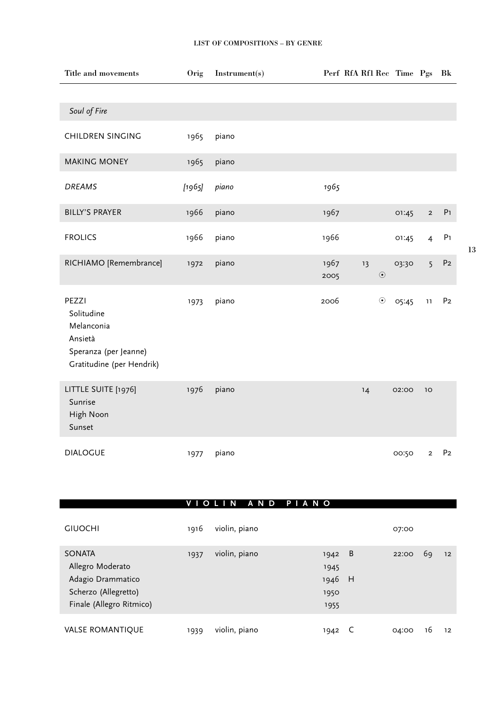| Title and movements                                                                                | Orig   | Instrument(s) | Perf RfA Rf1 Rec Time Pgs |         |       |                | Bk             |
|----------------------------------------------------------------------------------------------------|--------|---------------|---------------------------|---------|-------|----------------|----------------|
| Soul of Fire                                                                                       |        |               |                           |         |       |                |                |
| <b>CHILDREN SINGING</b>                                                                            | 1965   | piano         |                           |         |       |                |                |
| <b>MAKING MONEY</b>                                                                                | 1965   | piano         |                           |         |       |                |                |
| <b>DREAMS</b>                                                                                      | [1965] | piano         | 1965                      |         |       |                |                |
| <b>BILLY'S PRAYER</b>                                                                              | 1966   | piano         | 1967                      |         | 01:45 | $\overline{2}$ | P <sub>1</sub> |
| <b>FROLICS</b>                                                                                     | 1966   | piano         | 1966                      |         | 01:45 | $\overline{4}$ | P <sub>1</sub> |
| RICHIAMO [Remembrance]                                                                             | 1972   | piano         | 1967<br>13<br>2005        | $\odot$ | 03:30 | $\overline{5}$ | P <sub>2</sub> |
| PEZZI<br>Solitudine<br>Melanconia<br>Ansietà<br>Speranza (per Jeanne)<br>Gratitudine (per Hendrik) | 1973   | piano         | 2006                      | $\odot$ | 05:45 | 11             | P <sub>2</sub> |
| LITTLE SUITE [1976]<br>Sunrise<br>High Noon<br>Sunset                                              | 1976   | piano         | 14                        |         | 02:00 | 10             |                |
| <b>DIALOGUE</b>                                                                                    | 1977   | piano         |                           |         | 00:50 | $\overline{2}$ | P <sub>2</sub> |

#### **V I O L I N A N D P I A N O**

| <b>GIUOCHI</b>                                                                                             | 1916 | violin, piano |                                        |                | 07:00 |    |    |
|------------------------------------------------------------------------------------------------------------|------|---------------|----------------------------------------|----------------|-------|----|----|
| <b>SONATA</b><br>Allegro Moderato<br>Adagio Drammatico<br>Scherzo (Allegretto)<br>Finale (Allegro Ritmico) | 1937 | violin, piano | 1942<br>1945<br>1946 H<br>1950<br>1955 | $\overline{B}$ | 22:00 | 69 | 12 |
| <b>VALSE ROMANTIQUE</b>                                                                                    | 1939 | violin, piano | 1942                                   |                | 04:00 | 16 | 12 |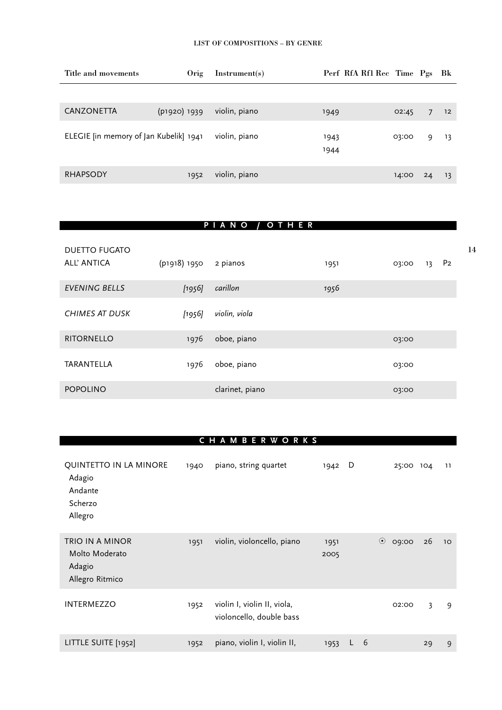| Title and movements                    | Orig         | Instrument(s) | Perf RfA Rf1 Rec Time Pgs |       |    | - Bk |
|----------------------------------------|--------------|---------------|---------------------------|-------|----|------|
|                                        |              |               |                           |       |    |      |
| <b>CANZONETTA</b>                      | (p1920) 1939 | violin, piano | 1949                      | 02:45 | 7  | 12   |
| ELEGIE [in memory of Jan Kubelik] 1941 |              | violin, piano | 1943<br>1944              | 03:00 | 9  | 13   |
| <b>RHAPSODY</b>                        | 1952         | violin, piano |                           | 14:00 | 24 | 13   |

#### **P I A N O / O T H E R**

| <b>DUETTO FUGATO</b><br>ALL' ANTICA | (p1918) 1950 | 2 pianos        | 1951 | 03:00 | 13 | P <sub>2</sub> |
|-------------------------------------|--------------|-----------------|------|-------|----|----------------|
| <b>EVENING BELLS</b>                | [1956]       | carillon        | 1956 |       |    |                |
| <b>CHIMES AT DUSK</b>               | [1956]       | violin, viola   |      |       |    |                |
| <b>RITORNELLO</b>                   | 1976         | oboe, piano     |      | 03:00 |    |                |
| TARANTELLA                          | 1976         | oboe, piano     |      | 03:00 |    |                |
| <b>POPOLINO</b>                     |              | clarinet, piano |      | 03:00 |    |                |

### **C H A M B E R W O R K S**

| QUINTETTO IN LA MINORE<br>Adagio<br>Andante<br>Scherzo<br>Allegro | 1940 | piano, string quartet                                   | 1942         | D |    |         | 25:00 | 104 | 11 |
|-------------------------------------------------------------------|------|---------------------------------------------------------|--------------|---|----|---------|-------|-----|----|
| TRIO IN A MINOR<br>Molto Moderato<br>Adagio<br>Allegro Ritmico    | 1951 | violin, violoncello, piano                              | 1951<br>2005 |   |    | $\odot$ | 09:00 | 26  | 10 |
| <b>INTERMEZZO</b>                                                 | 1952 | violin I, violin II, viola,<br>violoncello, double bass |              |   |    |         | 02:00 | 3   | 9  |
| LITTLE SUITE [1952]                                               | 1952 | piano, violin I, violin II,                             | 1953         | L | -6 |         |       | 29  | 9  |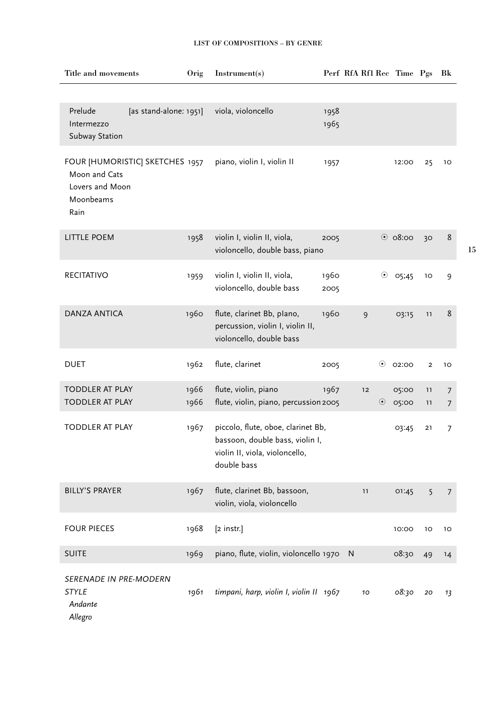| Title and movements                                                                      | Orig         | Instrument(s)                                                                                                          |              | Perf RfA Rf1 Rec Time Pgs |                  |                | Bk                               |
|------------------------------------------------------------------------------------------|--------------|------------------------------------------------------------------------------------------------------------------------|--------------|---------------------------|------------------|----------------|----------------------------------|
|                                                                                          |              |                                                                                                                        |              |                           |                  |                |                                  |
| Prelude<br>[as stand-alone: 1951]<br>Intermezzo<br>Subway Station                        |              | viola, violoncello                                                                                                     | 1958<br>1965 |                           |                  |                |                                  |
| FOUR [HUMORISTIC] SKETCHES 1957<br>Moon and Cats<br>Lovers and Moon<br>Moonbeams<br>Rain |              | piano, violin I, violin II                                                                                             | 1957         |                           | 12:00            | 25             | 10                               |
| <b>LITTLE POEM</b>                                                                       | 1958         | violin I, violin II, viola,<br>violoncello, double bass, piano                                                         | 2005         |                           | $\odot$ 08:00    | 30             | 8                                |
| <b>RECITATIVO</b>                                                                        | 1959         | violin I, violin II, viola,<br>violoncello, double bass                                                                | 1960<br>2005 |                           | $\odot$<br>05;45 | 10             | 9                                |
| <b>DANZA ANTICA</b>                                                                      | 1960         | flute, clarinet Bb, plano,<br>percussion, violin I, violin II,<br>violoncello, double bass                             | 1960         | 9                         | 03:15            | 11             | 8                                |
| <b>DUET</b>                                                                              | 1962         | flute, clarinet                                                                                                        | 2005         | $\odot$                   | 02:00            | $\overline{2}$ | 10                               |
| <b>TODDLER AT PLAY</b><br><b>TODDLER AT PLAY</b>                                         | 1966<br>1966 | flute, violin, piano<br>flute, violin, piano, percussion 2005                                                          | 1967         | 12<br>$\odot$             | 05:00<br>05:00   | 11<br>11       | $\overline{7}$<br>$\overline{7}$ |
| <b>TODDLER AT PLAY</b>                                                                   | 1967         | piccolo, flute, oboe, clarinet Bb,<br>bassoon, double bass, violin I,<br>violin II, viola, violoncello,<br>double bass |              |                           | 03:45            | 21             | 7                                |
| <b>BILLY'S PRAYER</b>                                                                    | 1967         | flute, clarinet Bb, bassoon,<br>violin, viola, violoncello                                                             |              | 11                        | 01:45            | 5              | $\overline{7}$                   |
| <b>FOUR PIECES</b>                                                                       | 1968         | [2 instr.]                                                                                                             |              |                           | 10:00            | 10             | 10                               |
| <b>SUITE</b>                                                                             | 1969         | piano, flute, violin, violoncello 1970                                                                                 |              | N                         | 08:30            | 49             | 14                               |
| <b>SERENADE IN PRE-MODERN</b><br><b>STYLE</b><br>Andante<br>Allegro                      | 1961         | timpani, harp, violin I, violin II 1967                                                                                |              | 10                        | 08:30            | 20             | 13                               |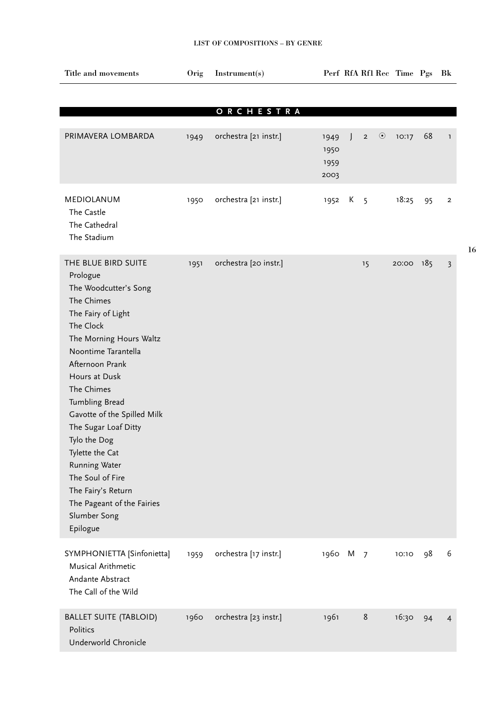| Title and movements             | Orig | Instrument(s)         |          |              |                |         | Perf RfA Rf1 Rec Time Pgs |    | Bk             |
|---------------------------------|------|-----------------------|----------|--------------|----------------|---------|---------------------------|----|----------------|
|                                 |      |                       |          |              |                |         |                           |    |                |
|                                 |      | ORCHESTRA             |          |              |                |         |                           |    |                |
|                                 |      |                       |          |              |                |         |                           |    |                |
| PRIMAVERA LOMBARDA              | 1949 | orchestra [21 instr.] | 1949     | $\mathsf{L}$ | $\overline{2}$ | $\odot$ | 10:17                     | 68 | $\mathbf{1}$   |
|                                 |      |                       | 1950     |              |                |         |                           |    |                |
|                                 |      |                       | 1959     |              |                |         |                           |    |                |
|                                 |      |                       | 2003     |              |                |         |                           |    |                |
| MEDIOLANUM                      | 1950 | orchestra [21 instr.] | 1952     | К            | $5^{\circ}$    |         | 18:25                     | 95 | $\overline{2}$ |
| The Castle                      |      |                       |          |              |                |         |                           |    |                |
| The Cathedral                   |      |                       |          |              |                |         |                           |    |                |
| The Stadium                     |      |                       |          |              |                |         |                           |    |                |
|                                 |      |                       |          |              |                |         |                           |    |                |
| THE BLUE BIRD SUITE             | 1951 | orchestra [20 instr.] |          |              | 15             |         | 20:00 185                 |    | $\overline{3}$ |
| Prologue                        |      |                       |          |              |                |         |                           |    |                |
| The Woodcutter's Song           |      |                       |          |              |                |         |                           |    |                |
| The Chimes                      |      |                       |          |              |                |         |                           |    |                |
| The Fairy of Light<br>The Clock |      |                       |          |              |                |         |                           |    |                |
| The Morning Hours Waltz         |      |                       |          |              |                |         |                           |    |                |
| Noontime Tarantella             |      |                       |          |              |                |         |                           |    |                |
| Afternoon Prank                 |      |                       |          |              |                |         |                           |    |                |
| Hours at Dusk                   |      |                       |          |              |                |         |                           |    |                |
| The Chimes                      |      |                       |          |              |                |         |                           |    |                |
| Tumbling Bread                  |      |                       |          |              |                |         |                           |    |                |
| Gavotte of the Spilled Milk     |      |                       |          |              |                |         |                           |    |                |
| The Sugar Loaf Ditty            |      |                       |          |              |                |         |                           |    |                |
| Tylo the Dog                    |      |                       |          |              |                |         |                           |    |                |
| Tylette the Cat                 |      |                       |          |              |                |         |                           |    |                |
| Running Water                   |      |                       |          |              |                |         |                           |    |                |
| The Soul of Fire                |      |                       |          |              |                |         |                           |    |                |
| The Fairy's Return              |      |                       |          |              |                |         |                           |    |                |
| The Pageant of the Fairies      |      |                       |          |              |                |         |                           |    |                |
| Slumber Song<br>Epilogue        |      |                       |          |              |                |         |                           |    |                |
|                                 |      |                       |          |              |                |         |                           |    |                |
| SYMPHONIETTA [Sinfonietta]      | 1959 | orchestra [17 instr.] | 1960 M 7 |              |                |         | 10:10                     | 98 | 6              |
| Musical Arithmetic              |      |                       |          |              |                |         |                           |    |                |
| Andante Abstract                |      |                       |          |              |                |         |                           |    |                |
| The Call of the Wild            |      |                       |          |              |                |         |                           |    |                |
|                                 |      |                       |          |              |                |         |                           |    |                |
| <b>BALLET SUITE (TABLOID)</b>   | 1960 | orchestra [23 instr.] | 1961     |              | $\,8\,$        |         | 16:30                     | 94 | $\overline{4}$ |
| Politics                        |      |                       |          |              |                |         |                           |    |                |
| Underworld Chronicle            |      |                       |          |              |                |         |                           |    |                |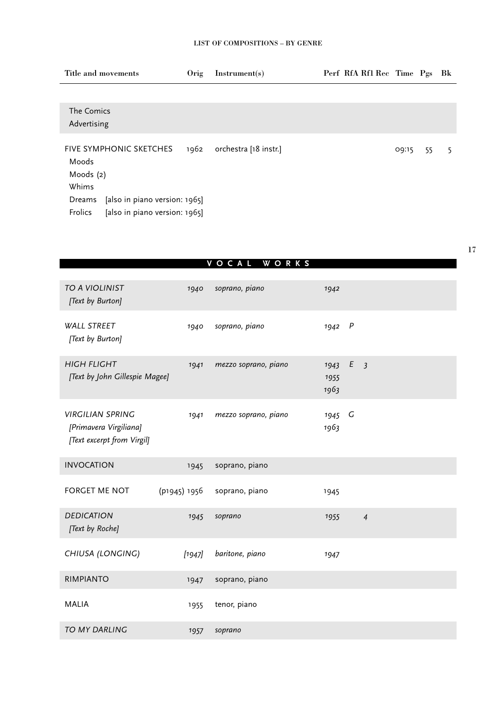| Title and movements                                                                 | Orig | Instrument(s)         | Perf RfA Rf1 Rec Time Pgs |       |    | Bk |
|-------------------------------------------------------------------------------------|------|-----------------------|---------------------------|-------|----|----|
|                                                                                     |      |                       |                           |       |    |    |
| The Comics<br>Advertising                                                           |      |                       |                           |       |    |    |
| FIVE SYMPHONIC SKETCHES<br>Moods<br>Moods (2)<br>Whims                              | 1962 | orchestra [18 instr.] |                           | 09:15 | 55 | 5  |
| [also in piano version: 1965]<br>Dreams<br>Frolics<br>[also in piano version: 1965] |      |                       |                           |       |    |    |

|                                                                                 |              | VOCAL WORKS          |                      |                     |  |
|---------------------------------------------------------------------------------|--------------|----------------------|----------------------|---------------------|--|
|                                                                                 |              |                      |                      |                     |  |
| TO A VIOLINIST<br>[Text by Burton]                                              | 1940         | soprano, piano       | 1942                 |                     |  |
| <b>WALL STREET</b><br>[Text by Burton]                                          | 1940         | soprano, piano       | 1942                 | P                   |  |
| <b>HIGH FLIGHT</b><br>[Text by John Gillespie Magee]                            | 1941         | mezzo soprano, piano | 1943<br>1955<br>1963 | E<br>$\overline{3}$ |  |
| <b>VIRGILIAN SPRING</b><br>[Primavera Virgiliana]<br>[Text excerpt from Virgil] | 1941         | mezzo soprano, piano | 1945<br>1963         | G                   |  |
| <b>INVOCATION</b>                                                               | 1945         | soprano, piano       |                      |                     |  |
| FORGET ME NOT                                                                   | (p1945) 1956 | soprano, piano       | 1945                 |                     |  |
| <b>DEDICATION</b><br>[Text by Roche]                                            | 1945         | soprano              | 1955                 | $\overline{4}$      |  |
| CHIUSA (LONGING)                                                                | $[1947]$     | baritone, piano      | 1947                 |                     |  |
| <b>RIMPIANTO</b>                                                                | 1947         | soprano, piano       |                      |                     |  |
| <b>MALIA</b>                                                                    | 1955         | tenor, piano         |                      |                     |  |
| <b>TO MY DARLING</b>                                                            | 1057         | soprano              |                      |                     |  |